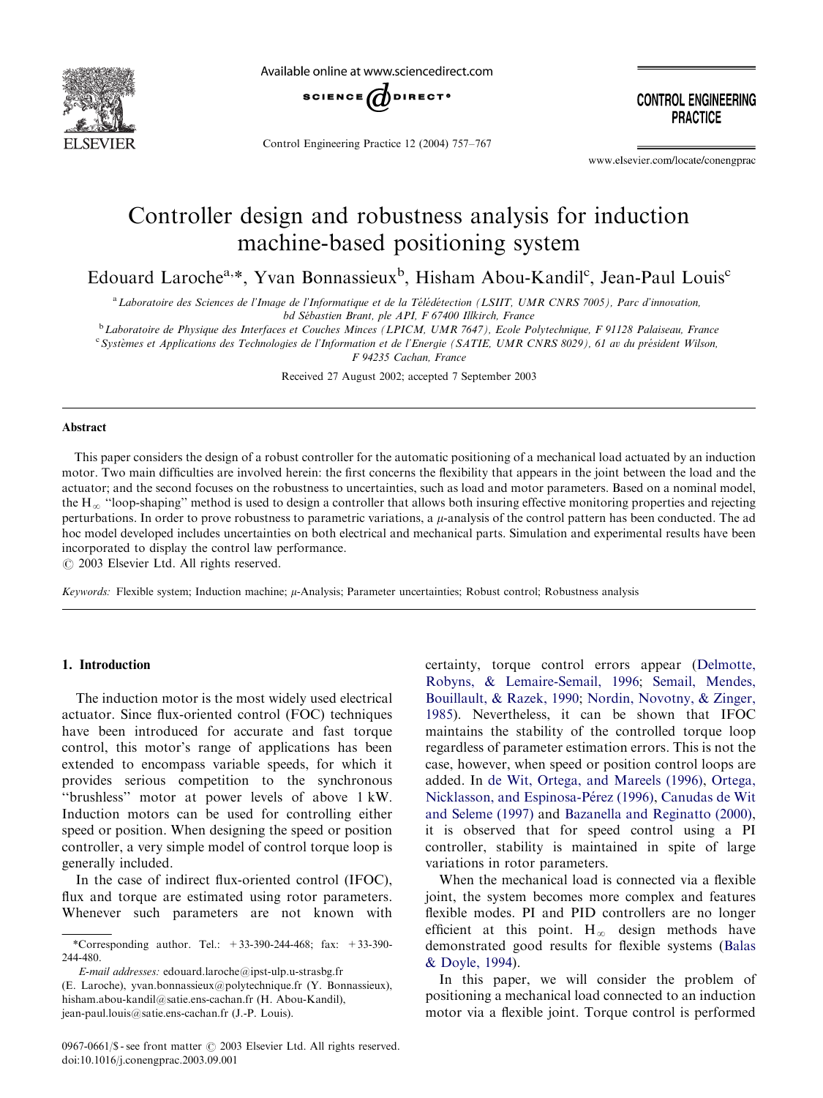

Available online at www.sciencedirect.com



Control Engineering Practice 12 (2004) 757–767

**CONTROL ENGINEERING PRACTICE** 

www.elsevier.com/locate/conengprac

## Controller design and robustness analysis for induction machine-based positioning system

Edouard Laroche<sup>a,\*</sup>, Yvan Bonnassieux<sup>b</sup>, Hisham Abou-Kandil<sup>c</sup>, Jean-Paul Louis<sup>c</sup>

a Laboratoire des Sciences de l'Image de l'Informatique et de la Télédétection (LSIIT, UMR CNRS 7005), Parc d'innovation,

bd Sébastien Brant, ple API, F 67400 Illkirch, France

<sup>b</sup>Laboratoire de Physique des Interfaces et Couches Minces (LPICM, UMR 7647), Ecole Polytechnique, F 91128 Palaiseau, France c Systèmes et Applications des Technologies de l'Information et de l'Energie (SATIE, UMR CNRS 8029), 61 av du président Wilson,

F 94235 Cachan, France

Received 27 August 2002; accepted 7 September 2003

#### Abstract

This paper considers the design of a robust controller for the automatic positioning of a mechanical load actuated by an induction motor. Two main difficulties are involved herein: the first concerns the flexibility that appears in the joint between the load and the actuator; and the second focuses on the robustness to uncertainties, such as load and motor parameters. Based on a nominal model, the  $H_{\infty}$  "loop-shaping" method is used to design a controller that allows both insuring effective monitoring properties and rejecting perturbations. In order to prove robustness to parametric variations, a  $\mu$ -analysis of the control pattern has been conducted. The ad hoc model developed includes uncertainties on both electrical and mechanical parts. Simulation and experimental results have been incorporated to display the control law performance.

 $C$  2003 Elsevier Ltd. All rights reserved.

Keywords: Flexible system; Induction machine;  $\mu$ -Analysis; Parameter uncertainties; Robust control; Robustness analysis

### 1. Introduction

The induction motor is the most widely used electrical actuator. Since flux-oriented control (FOC) techniques have been introduced for accurate and fast torque control, this motor's range of applications has been extended to encompass variable speeds, for which it provides serious competition to the synchronous ''brushless'' motor at power levels of above 1 kW: Induction motors can be used for controlling either speed or position. When designing the speed or position controller, a very simple model of control torque loop is generally included.

In the case of indirect flux-oriented control (IFOC), flux and torque are estimated using rotor parameters. Whenever such parameters are not known with

E-mail addresses: edouard.laroche@ipst-ulp.u-strasbg.fr (E. Laroche), yvan.bonnassieux@polytechnique.fr (Y. Bonnassieux), hisham.abou-kandil@satie.ens-cachan.fr (H. Abou-Kandil), jean-paul.louis@satie.ens-cachan.fr (J.-P. Louis).

certainty, torque control errors appear [\(Delmotte,](#page--1-0) [Robyns, & Lemaire-Semail, 1996;](#page--1-0) [Semail, Mendes,](#page--1-0) [Bouillault, & Razek, 1990](#page--1-0); [Nordin, Novotny,](#page--1-0) [& Zinger,](#page--1-0) [1985\)](#page--1-0). Nevertheless, it can be shown that IFOC maintains the stability of the controlled torque loop regardless of parameter estimation errors. This is not the case, however, when speed or position control loops are added. In [de Wit, Ortega, and Mareels \(1996\),](#page--1-0) [Ortega,](#page--1-0) Nicklasson, and Espinosa-Pérez (1996), [Canudas de Wit](#page--1-0) [and Seleme \(1997\)](#page--1-0) and [Bazanella and Reginatto \(2000\)](#page--1-0), it is observed that for speed control using a PI controller, stability is maintained in spite of large variations in rotor parameters.

When the mechanical load is connected via a flexible joint, the system becomes more complex and features flexible modes. PI and PID controllers are no longer efficient at this point.  $H_{\infty}$  design methods have demonstrated good results for flexible systems ([Balas](#page--1-0) & [Doyle, 1994\)](#page--1-0).

In this paper, we will consider the problem of positioning a mechanical load connected to an induction motor via a flexible joint. Torque control is performed

<sup>\*</sup>Corresponding author. Tel.:  $+33-390-244-468$ ; fax:  $+33-390-$ 244-480.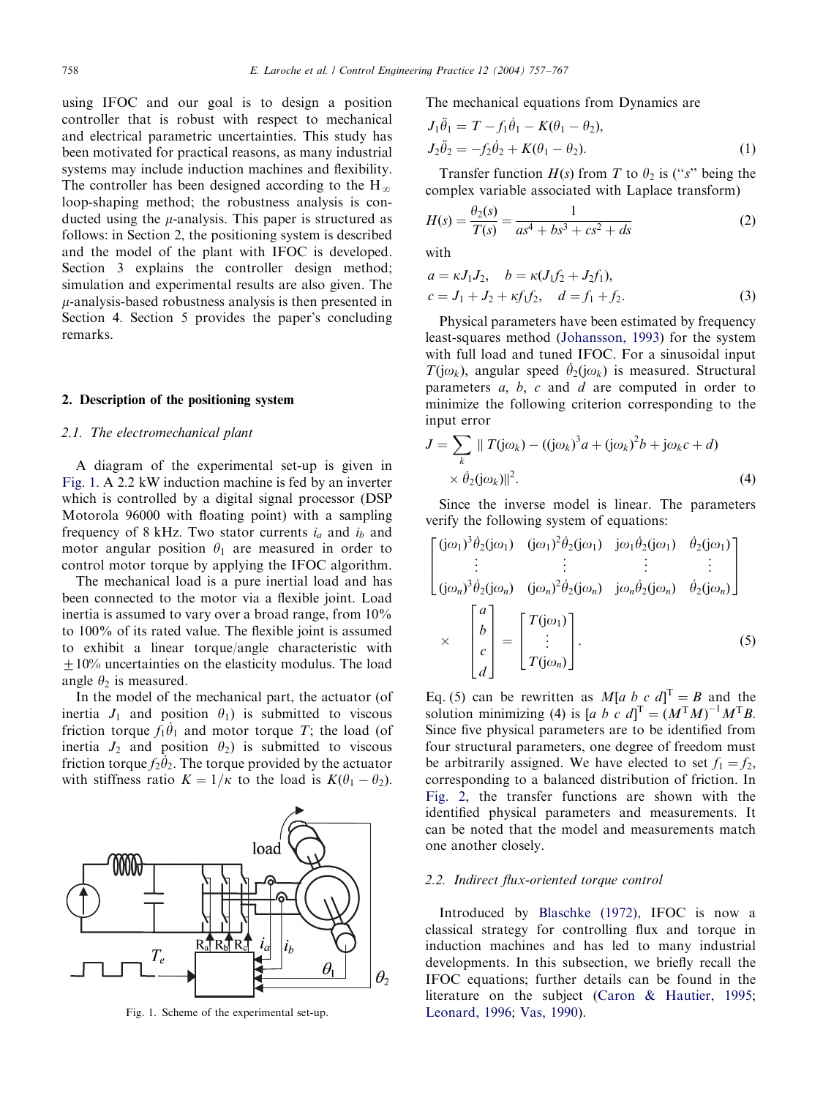using IFOC and our goal is to design a position controller that is robust with respect to mechanical and electrical parametric uncertainties. This study has been motivated for practical reasons, as many industrial systems may include induction machines and flexibility. The controller has been designed according to the H<sub> $\infty$ </sub> loop-shaping method; the robustness analysis is conducted using the  $\mu$ -analysis. This paper is structured as follows: in Section 2, the positioning system is described and the model of the plant with IFOC is developed. Section 3 explains the controller design method; simulation and experimental results are also given. The  $\mu$ -analysis-based robustness analysis is then presented in Section 4. Section 5 provides the paper's concluding remarks.

#### 2. Description of the positioning system

### 2.1. The electromechanical plant

A diagram of the experimental set-up is given in Fig. 1.A2:2 kW induction machine is fed by an inverter which is controlled by a digital signal processor (DSP Motorola 96000 with floating point) with a sampling frequency of 8 kHz. Two stator currents  $i_a$  and  $i_b$  and motor angular position  $\theta_1$  are measured in order to control motor torque by applying the IFOC algorithm.

The mechanical load is a pure inertial load and has been connected to the motor via a flexible joint. Load inertia is assumed to vary over a broad range, from 10% to 100% of its rated value. The flexible joint is assumed to exhibit a linear torque/angle characteristic with  $\pm 10\%$  uncertainties on the elasticity modulus. The load angle  $\theta_2$  is measured.

In the model of the mechanical part, the actuator (of inertia  $J_1$  and position  $\theta_1$ ) is submitted to viscous friction torque  $f_1 \dot{\theta}_1$  and motor torque T; the load (of inertia  $J_2$  and position  $\theta_2$ ) is submitted to viscous friction torque  $f_2 \theta_2$ . The torque provided by the actuator with stiffness ratio  $K = 1/\kappa$  to the load is  $K(\theta_1 - \theta_2)$ .



Fig. 1. Scheme of the experimental set-up.

The mechanical equations from Dynamics are

$$
J_1 \ddot{\theta}_1 = T - f_1 \dot{\theta}_1 - K(\theta_1 - \theta_2), J_2 \ddot{\theta}_2 = -f_2 \dot{\theta}_2 + K(\theta_1 - \theta_2).
$$
 (1)

Transfer function  $H(s)$  from T to  $\theta_2$  is ("s" being the complex variable associated with Laplace transform)

$$
H(s) = \frac{\theta_2(s)}{T(s)} = \frac{1}{as^4 + bs^3 + cs^2 + ds}
$$
 (2)

with

$$
a = \kappa J_1 J_2, \quad b = \kappa (J_1 f_2 + J_2 f_1),
$$
  
\n
$$
c = J_1 + J_2 + \kappa f_1 f_2, \quad d = f_1 + f_2.
$$
 (3)

Physical parameters have been estimated by frequency least-squares method [\(Johansson, 1993](#page--1-0)) for the system with full load and tuned IFOC. For a sinusoidal input  $T(j\omega_k)$ , angular speed  $\dot{\theta}_2(j\omega_k)$  is measured. Structural parameters  $a, b, c$  and  $d$  are computed in order to minimize the following criterion corresponding to the input error

$$
J = \sum_{k} ||T(j\omega_{k}) - ((j\omega_{k})^{3}a + (j\omega_{k})^{2}b + j\omega_{k}c + d)
$$
  
 
$$
\times \hat{\theta}_{2}(j\omega_{k})||^{2}.
$$
 (4)

Since the inverse model is linear. The parameters verify the following system of equations:

$$
\begin{bmatrix}\n(\mathbf{j}\omega_1)^3 \dot{\theta}_2(\mathbf{j}\omega_1) & (\mathbf{j}\omega_1)^2 \dot{\theta}_2(\mathbf{j}\omega_1) & \mathbf{j}\omega_1 \dot{\theta}_2(\mathbf{j}\omega_1) & \dot{\theta}_2(\mathbf{j}\omega_1) \\
\vdots & \vdots & \vdots & \vdots \\
(\mathbf{j}\omega_n)^3 \dot{\theta}_2(\mathbf{j}\omega_n) & (\mathbf{j}\omega_n)^2 \dot{\theta}_2(\mathbf{j}\omega_n) & \mathbf{j}\omega_n \dot{\theta}_2(\mathbf{j}\omega_n) & \dot{\theta}_2(\mathbf{j}\omega_n)\n\end{bmatrix}
$$
\n
$$
\times \begin{bmatrix}\na \\
b \\
c \\
d\n\end{bmatrix} = \begin{bmatrix}\nT(\mathbf{j}\omega_1) \\
\vdots \\
T(\mathbf{j}\omega_n)\n\end{bmatrix}.
$$
\n(5)

Eq. (5) can be rewritten as  $M[a\; b\; c\; d]^T = B$  and the solution minimizing (4) is [a b c d]<sup>T</sup> =  $(M<sup>T</sup>M)<sup>-1</sup>M<sup>T</sup>B$ . Since five physical parameters are to be identified from four structural parameters, one degree of freedom must be arbitrarily assigned. We have elected to set  $f_1 = f_2$ , corresponding to a balanced distribution of friction. In [Fig. 2,](#page--1-0) the transfer functions are shown with the identified physical parameters and measurements. It can be noted that the model and measurements match one another closely.

#### 2.2. Indirect flux-oriented torque control

Introduced by [Blaschke \(1972\)](#page--1-0), IFOC is now a classical strategy for controlling flux and torque in induction machines and has led to many industrial developments. In this subsection, we briefly recall the IFOC equations; further details can be found in the literature on the subject ([Caron & Hautier, 1995](#page--1-0); [Leonard, 1996](#page--1-0); [Vas, 1990](#page--1-0)).